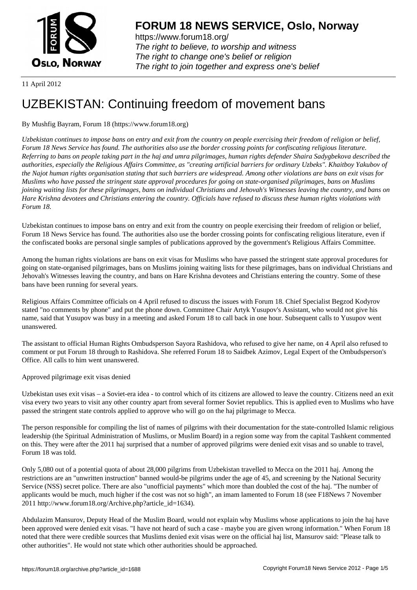

https://www.forum18.org/ The right to believe, to worship and witness The right to change one's belief or religion [The right to join together a](https://www.forum18.org/)nd express one's belief

11 April 2012

# [UZBEKISTAN:](https://www.forum18.org) Continuing freedom of movement bans

# By Mushfig Bayram, Forum 18 (https://www.forum18.org)

*Uzbekistan continues to impose bans on entry and exit from the country on people exercising their freedom of religion or belief, Forum 18 News Service has found. The authorities also use the border crossing points for confiscating religious literature. Referring to bans on people taking part in the haj and umra pilgrimages, human rights defender Shaira Sadygbekova described the authorities, especially the Religious Affairs Committee, as "creating artificial barriers for ordinary Uzbeks". Khaitboy Yakubov of the Najot human rights organisation stating that such barriers are widespread. Among other violations are bans on exit visas for Muslims who have passed the stringent state approval procedures for going on state-organised pilgrimages, bans on Muslims joining waiting lists for these pilgrimages, bans on individual Christians and Jehovah's Witnesses leaving the country, and bans on Hare Krishna devotees and Christians entering the country. Officials have refused to discuss these human rights violations with Forum 18.*

Uzbekistan continues to impose bans on entry and exit from the country on people exercising their freedom of religion or belief, Forum 18 News Service has found. The authorities also use the border crossing points for confiscating religious literature, even if the confiscated books are personal single samples of publications approved by the government's Religious Affairs Committee.

Among the human rights violations are bans on exit visas for Muslims who have passed the stringent state approval procedures for going on state-organised pilgrimages, bans on Muslims joining waiting lists for these pilgrimages, bans on individual Christians and Jehovah's Witnesses leaving the country, and bans on Hare Krishna devotees and Christians entering the country. Some of these bans have been running for several years.

Religious Affairs Committee officials on 4 April refused to discuss the issues with Forum 18. Chief Specialist Begzod Kodyrov stated "no comments by phone" and put the phone down. Committee Chair Artyk Yusupov's Assistant, who would not give his name, said that Yusupov was busy in a meeting and asked Forum 18 to call back in one hour. Subsequent calls to Yusupov went unanswered.

The assistant to official Human Rights Ombudsperson Sayora Rashidova, who refused to give her name, on 4 April also refused to comment or put Forum 18 through to Rashidova. She referred Forum 18 to Saidbek Azimov, Legal Expert of the Ombudsperson's Office. All calls to him went unanswered.

Approved pilgrimage exit visas denied

Uzbekistan uses exit visas – a Soviet-era idea - to control which of its citizens are allowed to leave the country. Citizens need an exit visa every two years to visit any other country apart from several former Soviet republics. This is applied even to Muslims who have passed the stringent state controls applied to approve who will go on the haj pilgrimage to Mecca.

The person responsible for compiling the list of names of pilgrims with their documentation for the state-controlled Islamic religious leadership (the Spiritual Administration of Muslims, or Muslim Board) in a region some way from the capital Tashkent commented on this. They were after the 2011 haj surprised that a number of approved pilgrims were denied exit visas and so unable to travel, Forum 18 was told.

Only 5,080 out of a potential quota of about 28,000 pilgrims from Uzbekistan travelled to Mecca on the 2011 haj. Among the restrictions are an "unwritten instruction" banned would-be pilgrims under the age of 45, and screening by the National Security Service (NSS) secret police. There are also "unofficial payments" which more than doubled the cost of the haj. "The number of applicants would be much, much higher if the cost was not so high", an imam lamented to Forum 18 (see F18News 7 November 2011 http://www.forum18.org/Archive.php?article\_id=1634).

Abdulazim Mansurov, Deputy Head of the Muslim Board, would not explain why Muslims whose applications to join the haj have been approved were denied exit visas. "I have not heard of such a case - maybe you are given wrong information." When Forum 18 noted that there were credible sources that Muslims denied exit visas were on the official haj list, Mansurov said: "Please talk to other authorities". He would not state which other authorities should be approached.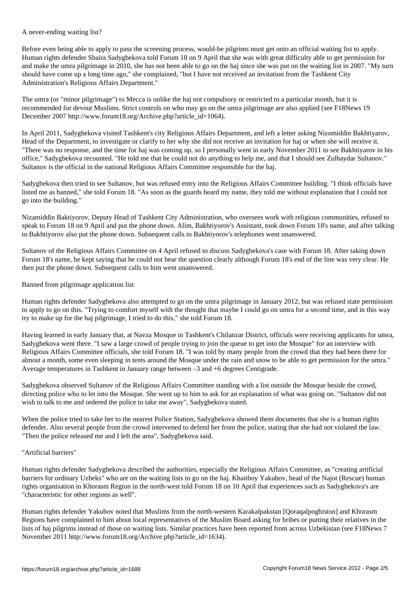A never-ending waiting list?

Before even being able to apply to pass the screening process, would-be pilgrims must get onto an official waiting list to apply. Human rights defender Shaira Sadygbekova told Forum 18 on 9 April that she was with great difficulty able to get permission for and make the umra pilgrimage in 2010, she has not been able to go on the haj since she was put on the waiting list in 2007. "My turn should have come up a long time ago," she complained, "but I have not received an invitation from the Tashkent City Administration's Religious Affairs Department."

The umra (or "minor pilgrimage") to Mecca is unlike the haj not compulsory or restricted to a particular month, but it is recommended for devout Muslims. Strict controls on who may go on the umra pilgrimage are also applied (see F18News 19 December 2007 http://www.forum18.org/Archive.php?article\_id=1064).

In April 2011, Sadygbekova visited Tashkent's city Religious Affairs Department, and left a letter asking Nizomiddin Bakhtiyarov, Head of the Department, to investigate or clarify to her why she did not receive an invitation for haj or when she will receive it. "There was no response, and the time for haj was coming up, so I personally went in early November 2011 to see Bakhtiyarov in his office," Sadygbekova recounted. "He told me that he could not do anything to help me, and that I should see Zulhaydar Sultanov." Sultanov is the official in the national Religious Affairs Committee responsible for the haj.

Sadygbekova then tried to see Sultanov, but was refused entry into the Religious Affairs Committee building. "I think officials have listed me as banned," she told Forum 18. "As soon as the guards heard my name, they told me without explanation that I could not go into the building."

Nizamiddin Baktiyorov, Deputy Head of Tashkent City Administration, who oversees work with religious communities, refused to speak to Forum 18 on 9 April and put the phone down. Alim, Bakhtiyorov's Assistant, took down Forum 18's name, and after talking to Bakhtiyorov also put the phone down. Subsequent calls to Bakhtiyorov's telephones went unanswered.

Sultanov of the Religious Affairs Committee on 4 April refused to discuss Sadygbekova's case with Forum 18. After taking down Forum 18's name, he kept saying that he could not hear the question clearly although Forum 18's end of the line was very clear. He then put the phone down. Subsequent calls to him went unanswered.

## Banned from pilgrimage application list

Human rights defender Sadygbekova also attempted to go on the umra pilgrimage in January 2012, but was refused state permission to apply to go on this. "Trying to comfort myself with the thought that maybe I could go on umra for a second time, and in this way try to make up for the haj pilgrimage, I tried to do this," she told Forum 18.

Having learned in early January that, at Navza Mosque in Tashkent's Chilanzar District, officials were receiving applicants for umra, Sadygbekova went there. "I saw a large crowd of people trying to join the queue to get into the Mosque" for an interview with Religious Affairs Committee officials, she told Forum 18. "I was told by many people from the crowd that they had been there for almost a month, some even sleeping in tents around the Mosque under the rain and snow to be able to get permission for the umra." Average temperatures in Tashkent in January range between –3 and +6 degrees Centigrade.

Sadygbekova observed Sultanov of the Religious Affairs Committee standing with a list outside the Mosque beside the crowd, directing police who to let into the Mosque. She went up to him to ask for an explanation of what was going on. "Sultanov did not wish to talk to me and ordered the police to take me away", Sadygbekova stated.

When the police tried to take her to the nearest Police Station, Sadygbekova showed them documents that she is a human rights defender. Also several people from the crowd intervened to defend her from the police, stating that she had not violated the law. "Then the police released me and I left the area", Sadygbekova said.

### "Artificial barriers"

Human rights defender Sadygbekova described the authorities, especially the Religious Affairs Committee, as "creating artificial barriers for ordinary Uzbeks" who are on the waiting lists to go on the haj. Khaitboy Yakubov, head of the Najot (Rescue) human rights organisation in Khorasm Region in the north-west told Forum 18 on 10 April that experiences such as Sadygbekova's are "characteristic for other regions as well".

Human rights defender Yakubov noted that Muslims from the north-western Karakalpakstan [Qoraqalpoghiston] and Khorasm Regions have complained to him about local representatives of the Muslim Board asking for bribes or putting their relatives in the lists of haj pilgrims instead of those on waiting lists. Similar practices have been reported from across Uzbekistan (see F18News 7 November 2011 http://www.forum18.org/Archive.php?article\_id=1634).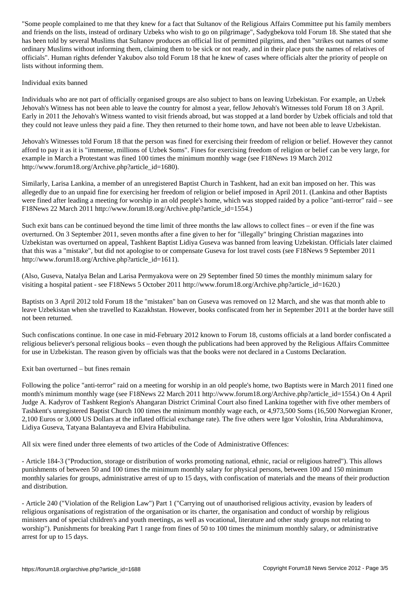and friends on the lists, instead of ordinary Uzbeks who wish to go on pilgrimage", Sadygbekova told Forum 18. She stated that she has been told by several Muslims that Sultanov produces an official list of permitted pilgrims, and then "strikes out names of some ordinary Muslims without informing them, claiming them to be sick or not ready, and in their place puts the names of relatives of officials". Human rights defender Yakubov also told Forum 18 that he knew of cases where officials alter the priority of people on lists without informing them.

### Individual exits banned

Individuals who are not part of officially organised groups are also subject to bans on leaving Uzbekistan. For example, an Uzbek Jehovah's Witness has not been able to leave the country for almost a year, fellow Jehovah's Witnesses told Forum 18 on 3 April. Early in 2011 the Jehovah's Witness wanted to visit friends abroad, but was stopped at a land border by Uzbek officials and told that they could not leave unless they paid a fine. They then returned to their home town, and have not been able to leave Uzbekistan.

Jehovah's Witnesses told Forum 18 that the person was fined for exercising their freedom of religion or belief. However they cannot afford to pay it as it is "immense, millions of Uzbek Soms". Fines for exercising freedom of religion or belief can be very large, for example in March a Protestant was fined 100 times the minimum monthly wage (see F18News 19 March 2012 http://www.forum18.org/Archive.php?article\_id=1680).

Similarly, Larisa Lankina, a member of an unregistered Baptist Church in Tashkent, had an exit ban imposed on her. This was allegedly due to an unpaid fine for exercising her freedom of religion or belief imposed in April 2011. (Lankina and other Baptists were fined after leading a meeting for worship in an old people's home, which was stopped raided by a police "anti-terror" raid – see F18News 22 March 2011 http://www.forum18.org/Archive.php?article\_id=1554.)

Such exit bans can be continued beyond the time limit of three months the law allows to collect fines – or even if the fine was overturned. On 3 September 2011, seven months after a fine given to her for "illegally" bringing Christian magazines into Uzbekistan was overturned on appeal, Tashkent Baptist Lidiya Guseva was banned from leaving Uzbekistan. Officials later claimed that this was a "mistake", but did not apologise to or compensate Guseva for lost travel costs (see F18News 9 September 2011 http://www.forum18.org/Archive.php?article\_id=1611).

(Also, Guseva, Natalya Belan and Larisa Permyakova were on 29 September fined 50 times the monthly minimum salary for visiting a hospital patient - see F18News 5 October 2011 http://www.forum18.org/Archive.php?article\_id=1620.)

Baptists on 3 April 2012 told Forum 18 the "mistaken" ban on Guseva was removed on 12 March, and she was that month able to leave Uzbekistan when she travelled to Kazakhstan. However, books confiscated from her in September 2011 at the border have still not been returned.

Such confiscations continue. In one case in mid-February 2012 known to Forum 18, customs officials at a land border confiscated a religious believer's personal religious books – even though the publications had been approved by the Religious Affairs Committee for use in Uzbekistan. The reason given by officials was that the books were not declared in a Customs Declaration.

Exit ban overturned – but fines remain

Following the police "anti-terror" raid on a meeting for worship in an old people's home, two Baptists were in March 2011 fined one month's minimum monthly wage (see F18News 22 March 2011 http://www.forum18.org/Archive.php?article\_id=1554.) On 4 April Judge A. Kadyrov of Tashkent Region's Ahangaran District Criminal Court also fined Lankina together with five other members of Tashkent's unregistered Baptist Church 100 times the minimum monthly wage each, or 4,973,500 Soms (16,500 Norwegian Kroner, 2,100 Euros or 3,000 US Dollars at the inflated official exchange rate). The five others were Igor Voloshin, Irina Abdurahimova, Lidiya Guseva, Tatyana Balantayeva and Elvira Habibulina.

All six were fined under three elements of two articles of the Code of Administrative Offences:

- Article 184-3 ("Production, storage or distribution of works promoting national, ethnic, racial or religious hatred"). This allows punishments of between 50 and 100 times the minimum monthly salary for physical persons, between 100 and 150 minimum monthly salaries for groups, administrative arrest of up to 15 days, with confiscation of materials and the means of their production and distribution.

- Article 240 ("Violation of the Religion Law") Part 1 ("Carrying out of unauthorised religious activity, evasion by leaders of religious organisations of registration of the organisation or its charter, the organisation and conduct of worship by religious ministers and of special children's and youth meetings, as well as vocational, literature and other study groups not relating to worship"). Punishments for breaking Part 1 range from fines of 50 to 100 times the minimum monthly salary, or administrative arrest for up to 15 days.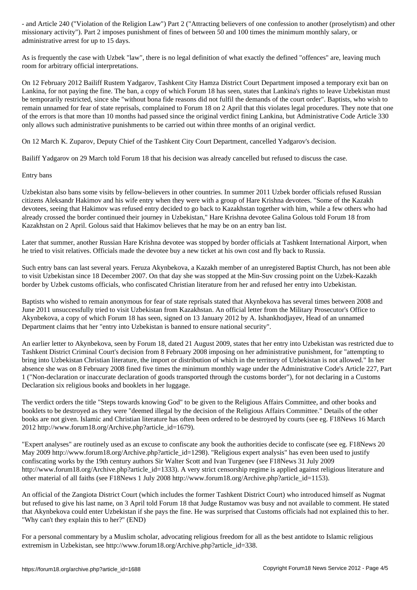missionary activity"). Part 2 imposes punishment of fines of between 50 and 100 times the minimum monthly salary, or administrative arrest for up to 15 days.

As is frequently the case with Uzbek "law", there is no legal definition of what exactly the defined "offences" are, leaving much room for arbitrary official interpretations.

On 12 February 2012 Bailiff Rustem Yadgarov, Tashkent City Hamza District Court Department imposed a temporary exit ban on Lankina, for not paying the fine. The ban, a copy of which Forum 18 has seen, states that Lankina's rights to leave Uzbekistan must be temporarily restricted, since she "without bona fide reasons did not fulfil the demands of the court order". Baptists, who wish to remain unnamed for fear of state reprisals, complained to Forum 18 on 2 April that this violates legal procedures. They note that one of the errors is that more than 10 months had passed since the original verdict fining Lankina, but Administrative Code Article 330 only allows such administrative punishments to be carried out within three months of an original verdict.

On 12 March K. Zuparov, Deputy Chief of the Tashkent City Court Department, cancelled Yadgarov's decision.

Bailiff Yadgarov on 29 March told Forum 18 that his decision was already cancelled but refused to discuss the case.

Entry bans

Uzbekistan also bans some visits by fellow-believers in other countries. In summer 2011 Uzbek border officials refused Russian citizens Aleksandr Hakimov and his wife entry when they were with a group of Hare Krishna devotees. "Some of the Kazakh devotees, seeing that Hakimov was refused entry decided to go back to Kazakhstan together with him, while a few others who had already crossed the border continued their journey in Uzbekistan," Hare Krishna devotee Galina Golous told Forum 18 from Kazakhstan on 2 April. Golous said that Hakimov believes that he may be on an entry ban list.

Later that summer, another Russian Hare Krishna devotee was stopped by border officials at Tashkent International Airport, when he tried to visit relatives. Officials made the devotee buy a new ticket at his own cost and fly back to Russia.

Such entry bans can last several years. Feruza Akynbekova, a Kazakh member of an unregistered Baptist Church, has not been able to visit Uzbekistan since 18 December 2007. On that day she was stopped at the Min-Suv crossing point on the Uzbek-Kazakh border by Uzbek customs officials, who confiscated Christian literature from her and refused her entry into Uzbekistan.

Baptists who wished to remain anonymous for fear of state reprisals stated that Akynbekova has several times between 2008 and June 2011 unsuccessfully tried to visit Uzbekistan from Kazakhstan. An official letter from the Military Prosecutor's Office to Akynbekova, a copy of which Forum 18 has seen, signed on 13 January 2012 by A. Ishankhodjayev, Head of an unnamed Department claims that her "entry into Uzbekistan is banned to ensure national security".

An earlier letter to Akynbekova, seen by Forum 18, dated 21 August 2009, states that her entry into Uzbekistan was restricted due to Tashkent District Criminal Court's decision from 8 February 2008 imposing on her administrative punishment, for "attempting to bring into Uzbekistan Christian literature, the import or distribution of which in the territory of Uzbekistan is not allowed." In her absence she was on 8 February 2008 fined five times the minimum monthly wage under the Administrative Code's Article 227, Part 1 ("Non-declaration or inaccurate declaration of goods transported through the customs border"), for not declaring in a Customs Declaration six religious books and booklets in her luggage.

The verdict orders the title "Steps towards knowing God" to be given to the Religious Affairs Committee, and other books and booklets to be destroyed as they were "deemed illegal by the decision of the Religious Affairs Committee." Details of the other books are not given. Islamic and Christian literature has often been ordered to be destroyed by courts (see eg. F18News 16 March 2012 http://www.forum18.org/Archive.php?article\_id=1679).

"Expert analyses" are routinely used as an excuse to confiscate any book the authorities decide to confiscate (see eg. F18News 20 May 2009 http://www.forum18.org/Archive.php?article id=1298). "Religious expert analysis" has even been used to justify confiscating works by the 19th century authors Sir Walter Scott and Ivan Turgenev (see F18News 31 July 2009 http://www.forum18.org/Archive.php?article\_id=1333). A very strict censorship regime is applied against religious literature and other material of all faiths (see F18News 1 July 2008 http://www.forum18.org/Archive.php?article\_id=1153).

An official of the Zangiota District Court (which includes the former Tashkent District Court) who introduced himself as Nugmat but refused to give his last name, on 3 April told Forum 18 that Judge Rustamov was busy and not available to comment. He stated that Akynbekova could enter Uzbekistan if she pays the fine. He was surprised that Customs officials had not explained this to her. "Why can't they explain this to her?" (END)

For a personal commentary by a Muslim scholar, advocating religious freedom for all as the best antidote to Islamic religious extremism in Uzbekistan, see http://www.forum18.org/Archive.php?article\_id=338.